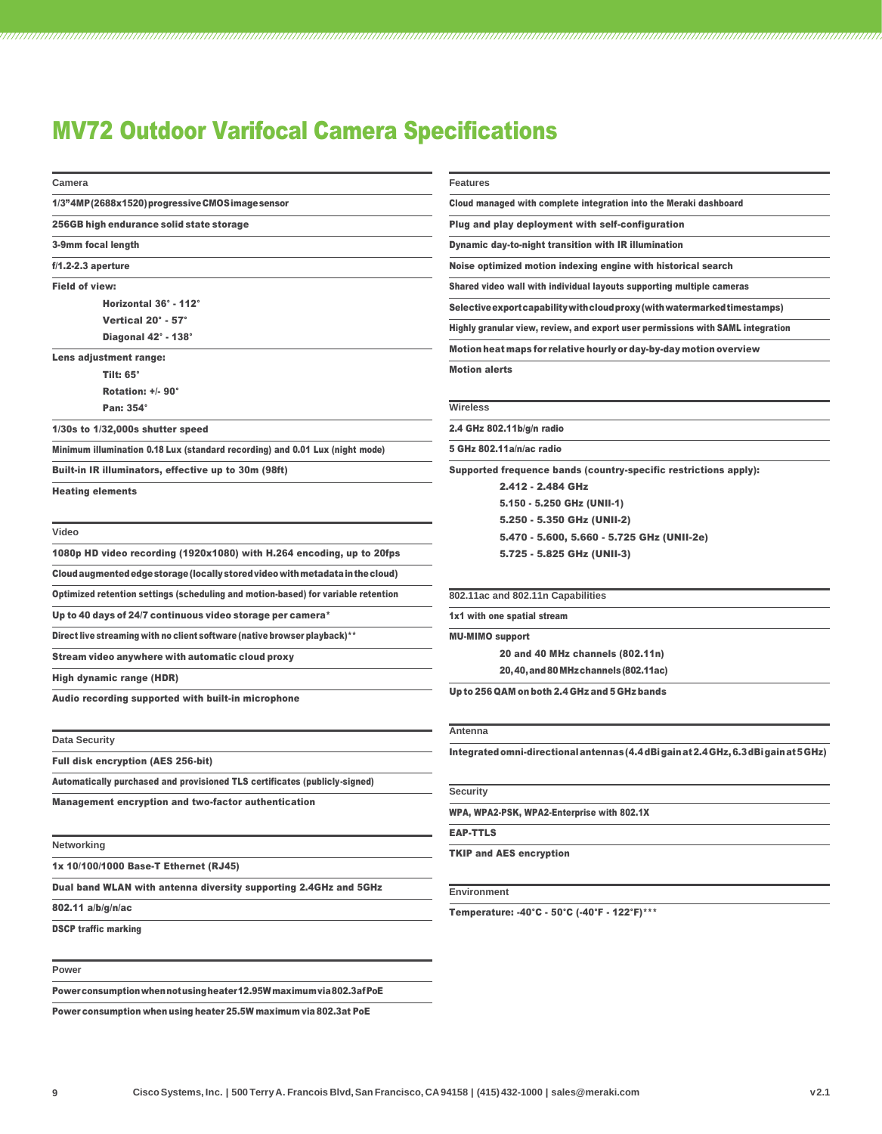## MV72 Outdoor Varifocal Camera Specifications

| Camera                                                                            | <b>Features</b>                                                                       |
|-----------------------------------------------------------------------------------|---------------------------------------------------------------------------------------|
| 1/3"4MP (2688x1520) progressive CMOS image sensor                                 | Cloud managed with complete integration into the Meraki dashboard                     |
| 256GB high endurance solid state storage                                          | Plug and play deployment with self-configuration                                      |
| 3-9mm focal length                                                                | Dynamic day-to-night transition with IR illumination                                  |
| $f/1.2 - 2.3$ aperture                                                            | Noise optimized motion indexing engine with historical search                         |
| <b>Field of view:</b>                                                             | Shared video wall with individual layouts supporting multiple cameras                 |
| Horizontal 36° - 112°                                                             | Selective export capability with cloud proxy (with watermarked timestamps)            |
| Vertical 20° - 57°                                                                | Highly granular view, review, and export user permissions with SAML integration       |
| Diagonal 42° - 138°                                                               | Motion heat maps for relative hourly or day-by-day motion overview                    |
| Lens adjustment range:                                                            |                                                                                       |
| <b>Tilt: 65°</b>                                                                  | <b>Motion alerts</b>                                                                  |
| Rotation: +/- 90°                                                                 |                                                                                       |
| Pan: 354°                                                                         | <b>Wireless</b>                                                                       |
| $1/30s$ to $1/32,000s$ shutter speed                                              | 2.4 GHz 802.11b/g/n radio                                                             |
| Minimum illumination 0.18 Lux (standard recording) and 0.01 Lux (night mode)      | 5 GHz 802.11a/n/ac radio                                                              |
| Built-in IR illuminators, effective up to 30m (98ft)                              | Supported frequence bands (country-specific restrictions apply):                      |
| <b>Heating elements</b>                                                           | 2.412 - 2.484 GHz                                                                     |
|                                                                                   | 5.150 - 5.250 GHz (UNII-1)                                                            |
|                                                                                   | 5.250 - 5.350 GHz (UNII-2)                                                            |
| Video                                                                             | 5.470 - 5.600, 5.660 - 5.725 GHz (UNII-2e)                                            |
| 1080p HD video recording (1920x1080) with H.264 encoding, up to 20fps             | 5.725 - 5.825 GHz (UNII-3)                                                            |
| Cloud augmented edge storage (locally stored video with metadata in the cloud)    |                                                                                       |
| Optimized retention settings (scheduling and motion-based) for variable retention | 802.11ac and 802.11n Capabilities                                                     |
| Up to 40 days of 24/7 continuous video storage per camera*                        | 1x1 with one spatial stream                                                           |
| Direct live streaming with no client software (native browser playback)**         | <b>MU-MIMO support</b>                                                                |
| Stream video anywhere with automatic cloud proxy                                  | 20 and 40 MHz channels (802.11n)                                                      |
| High dynamic range (HDR)                                                          | 20, 40, and 80 MHz channels (802.11ac)                                                |
| Audio recording supported with built-in microphone                                | Up to 256 QAM on both 2.4 GHz and 5 GHz bands                                         |
| <b>Data Security</b>                                                              | Antenna                                                                               |
| <b>Full disk encryption (AES 256-bit)</b>                                         | Integrated omni-directional antennas (4.4 dBi gain at 2.4 GHz, 6.3 dBi gain at 5 GHz) |
|                                                                                   |                                                                                       |
| Automatically purchased and provisioned TLS certificates (publicly-signed)        | <b>Security</b>                                                                       |
| <b>Management encryption and two-factor authentication</b>                        | WPA, WPA2-PSK, WPA2-Enterprise with 802.1X                                            |
|                                                                                   | <b>EAP-TTLS</b>                                                                       |
| Networking                                                                        | <b>TKIP and AES encryption</b>                                                        |
| 1x 10/100/1000 Base-T Ethernet (RJ45)                                             |                                                                                       |
| Dual band WLAN with antenna diversity supporting 2.4GHz and 5GHz                  | <b>Environment</b>                                                                    |
| 802.11 a/b/g/n/ac                                                                 | Temperature: -40°C - 50°C (-40°F - 122°F)***                                          |
| <b>DSCP traffic marking</b>                                                       |                                                                                       |
| Power                                                                             |                                                                                       |
|                                                                                   |                                                                                       |

Powerconsumptionwhennotusingheater12.95Wmaximumvia802.3afPoE

Power consumption when using heater 25.5W maximum via 802.3at PoE